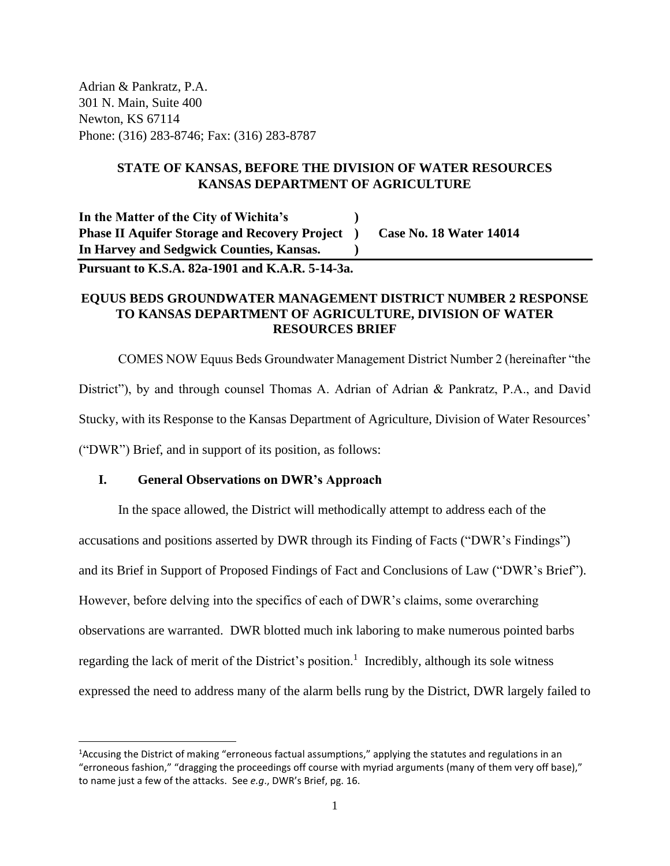Adrian & Pankratz, P.A. 301 N. Main, Suite 400 Newton, KS 67114 Phone: (316) 283-8746; Fax: (316) 283-8787

# **STATE OF KANSAS, BEFORE THE DIVISION OF WATER RESOURCES KANSAS DEPARTMENT OF AGRICULTURE**

**In the Matter of the City of Wichita's ) Phase II Aquifer Storage and Recovery Project ) Case No. 18 Water 14014 In Harvey and Sedgwick Counties, Kansas. )**

**Pursuant to K.S.A. 82a-1901 and K.A.R. 5-14-3a.**

# **EQUUS BEDS GROUNDWATER MANAGEMENT DISTRICT NUMBER 2 RESPONSE TO KANSAS DEPARTMENT OF AGRICULTURE, DIVISION OF WATER RESOURCES BRIEF**

COMES NOW Equus Beds Groundwater Management District Number 2 (hereinafter "the District"), by and through counsel Thomas A. Adrian of Adrian & Pankratz, P.A., and David Stucky, with its Response to the Kansas Department of Agriculture, Division of Water Resources' ("DWR") Brief, and in support of its position, as follows:

# **I. General Observations on DWR's Approach**

In the space allowed, the District will methodically attempt to address each of the accusations and positions asserted by DWR through its Finding of Facts ("DWR's Findings") and its Brief in Support of Proposed Findings of Fact and Conclusions of Law ("DWR's Brief"). However, before delving into the specifics of each of DWR's claims, some overarching observations are warranted. DWR blotted much ink laboring to make numerous pointed barbs regarding the lack of merit of the District's position.<sup>1</sup> Incredibly, although its sole witness expressed the need to address many of the alarm bells rung by the District, DWR largely failed to

<sup>1</sup>Accusing the District of making "erroneous factual assumptions," applying the statutes and regulations in an "erroneous fashion," "dragging the proceedings off course with myriad arguments (many of them very off base)," to name just a few of the attacks. See *e.g*., DWR's Brief, pg. 16.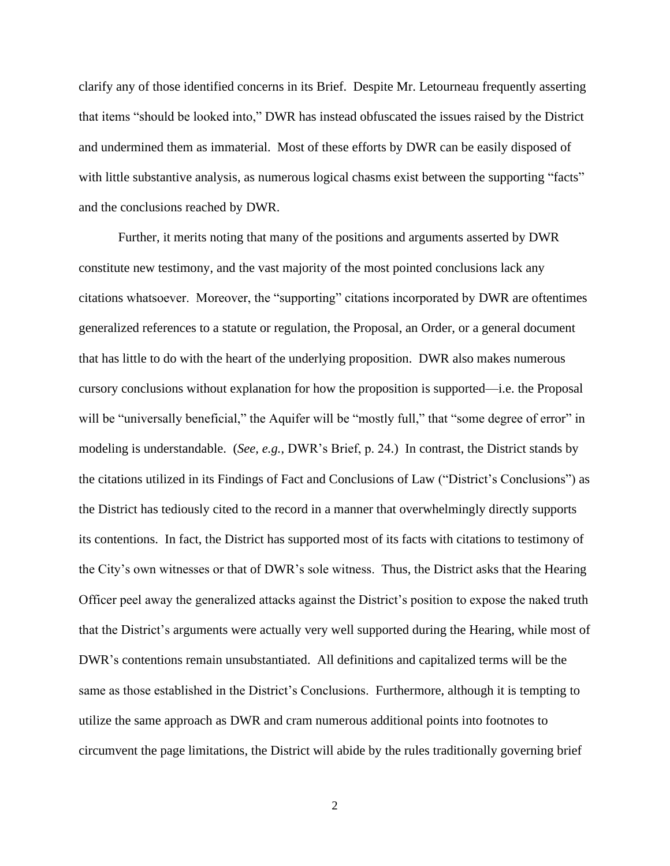clarify any of those identified concerns in its Brief. Despite Mr. Letourneau frequently asserting that items "should be looked into," DWR has instead obfuscated the issues raised by the District and undermined them as immaterial. Most of these efforts by DWR can be easily disposed of with little substantive analysis, as numerous logical chasms exist between the supporting "facts" and the conclusions reached by DWR.

Further, it merits noting that many of the positions and arguments asserted by DWR constitute new testimony, and the vast majority of the most pointed conclusions lack any citations whatsoever. Moreover, the "supporting" citations incorporated by DWR are oftentimes generalized references to a statute or regulation, the Proposal, an Order, or a general document that has little to do with the heart of the underlying proposition. DWR also makes numerous cursory conclusions without explanation for how the proposition is supported—i.e. the Proposal will be "universally beneficial," the Aquifer will be "mostly full," that "some degree of error" in modeling is understandable. (*See, e.g.*, DWR's Brief, p. 24.) In contrast, the District stands by the citations utilized in its Findings of Fact and Conclusions of Law ("District's Conclusions") as the District has tediously cited to the record in a manner that overwhelmingly directly supports its contentions. In fact, the District has supported most of its facts with citations to testimony of the City's own witnesses or that of DWR's sole witness. Thus, the District asks that the Hearing Officer peel away the generalized attacks against the District's position to expose the naked truth that the District's arguments were actually very well supported during the Hearing, while most of DWR's contentions remain unsubstantiated. All definitions and capitalized terms will be the same as those established in the District's Conclusions. Furthermore, although it is tempting to utilize the same approach as DWR and cram numerous additional points into footnotes to circumvent the page limitations, the District will abide by the rules traditionally governing brief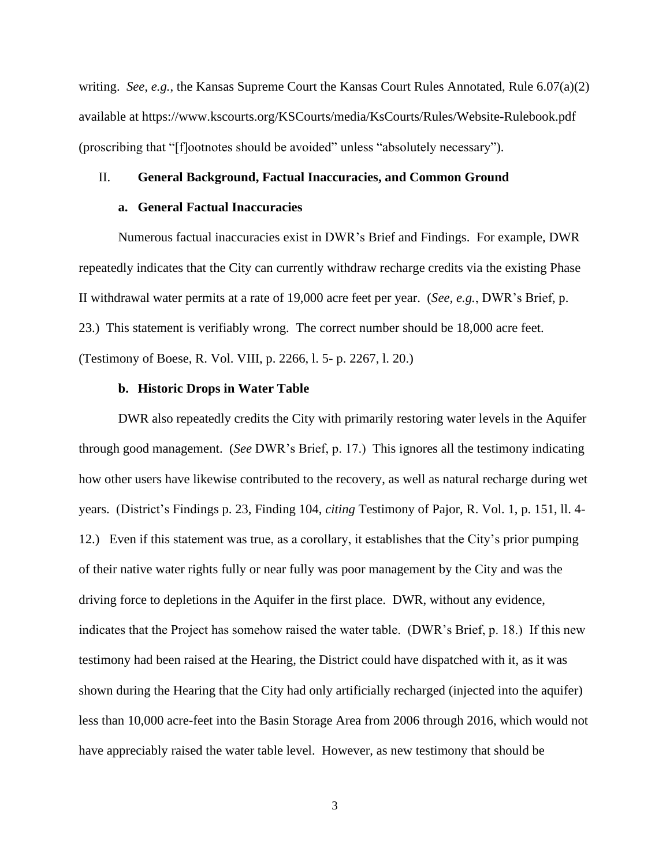writing. *See, e.g.*, the Kansas Supreme Court the Kansas Court Rules Annotated, Rule 6.07(a)(2) available at https://www.kscourts.org/KSCourts/media/KsCourts/Rules/Website-Rulebook.pdf (proscribing that "[f]ootnotes should be avoided" unless "absolutely necessary").

# II. **General Background, Factual Inaccuracies, and Common Ground**

# **a. General Factual Inaccuracies**

Numerous factual inaccuracies exist in DWR's Brief and Findings. For example, DWR repeatedly indicates that the City can currently withdraw recharge credits via the existing Phase II withdrawal water permits at a rate of 19,000 acre feet per year. (*See, e.g.*, DWR's Brief, p. 23.) This statement is verifiably wrong. The correct number should be 18,000 acre feet. (Testimony of Boese, R. Vol. VIII, p. 2266, l. 5- p. 2267, l. 20.)

#### **b. Historic Drops in Water Table**

DWR also repeatedly credits the City with primarily restoring water levels in the Aquifer through good management. (*See* DWR's Brief, p. 17.) This ignores all the testimony indicating how other users have likewise contributed to the recovery, as well as natural recharge during wet years. (District's Findings p. 23, Finding 104, *citing* Testimony of Pajor, R. Vol. 1, p. 151, ll. 4- 12.) Even if this statement was true, as a corollary, it establishes that the City's prior pumping of their native water rights fully or near fully was poor management by the City and was the driving force to depletions in the Aquifer in the first place. DWR, without any evidence, indicates that the Project has somehow raised the water table. (DWR's Brief, p. 18.) If this new testimony had been raised at the Hearing, the District could have dispatched with it, as it was shown during the Hearing that the City had only artificially recharged (injected into the aquifer) less than 10,000 acre-feet into the Basin Storage Area from 2006 through 2016, which would not have appreciably raised the water table level. However, as new testimony that should be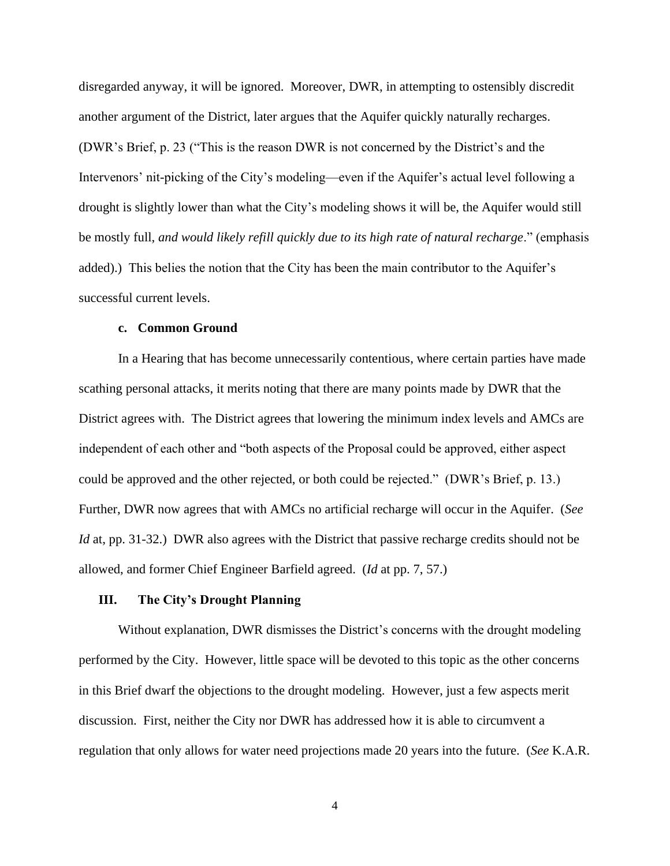disregarded anyway, it will be ignored. Moreover, DWR, in attempting to ostensibly discredit another argument of the District, later argues that the Aquifer quickly naturally recharges. (DWR's Brief, p. 23 ("This is the reason DWR is not concerned by the District's and the Intervenors' nit-picking of the City's modeling—even if the Aquifer's actual level following a drought is slightly lower than what the City's modeling shows it will be, the Aquifer would still be mostly full, *and would likely refill quickly due to its high rate of natural recharge*." (emphasis added).) This belies the notion that the City has been the main contributor to the Aquifer's successful current levels.

# **c. Common Ground**

In a Hearing that has become unnecessarily contentious, where certain parties have made scathing personal attacks, it merits noting that there are many points made by DWR that the District agrees with. The District agrees that lowering the minimum index levels and AMCs are independent of each other and "both aspects of the Proposal could be approved, either aspect could be approved and the other rejected, or both could be rejected." (DWR's Brief, p. 13.) Further, DWR now agrees that with AMCs no artificial recharge will occur in the Aquifer. (*See Id* at, pp. 31-32.) DWR also agrees with the District that passive recharge credits should not be allowed, and former Chief Engineer Barfield agreed. (*Id* at pp. 7, 57.)

# **III. The City's Drought Planning**

Without explanation, DWR dismisses the District's concerns with the drought modeling performed by the City. However, little space will be devoted to this topic as the other concerns in this Brief dwarf the objections to the drought modeling. However, just a few aspects merit discussion. First, neither the City nor DWR has addressed how it is able to circumvent a regulation that only allows for water need projections made 20 years into the future. (*See* K.A.R.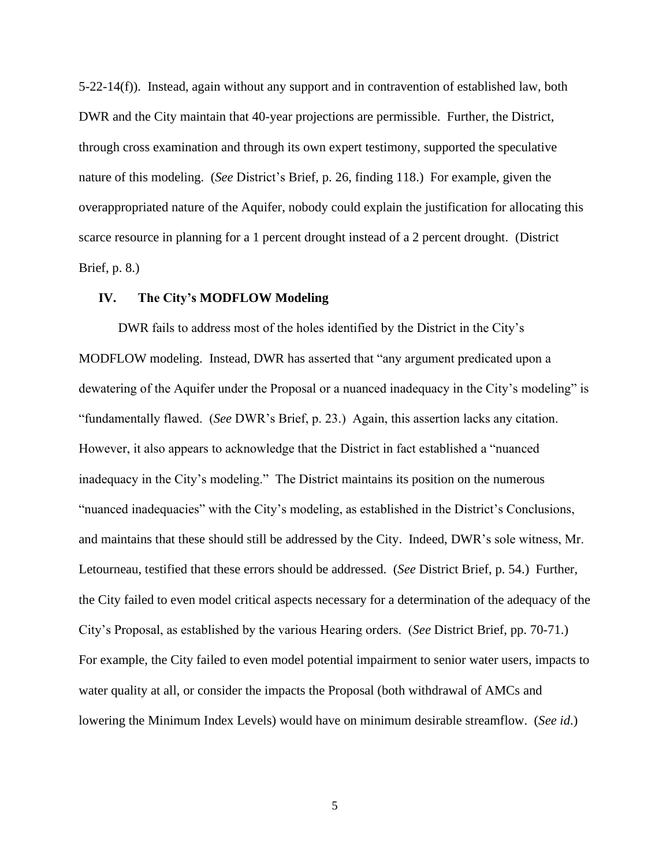5-22-14(f)). Instead, again without any support and in contravention of established law, both DWR and the City maintain that 40-year projections are permissible. Further, the District, through cross examination and through its own expert testimony, supported the speculative nature of this modeling. (*See* District's Brief, p. 26, finding 118.) For example, given the overappropriated nature of the Aquifer, nobody could explain the justification for allocating this scarce resource in planning for a 1 percent drought instead of a 2 percent drought. (District Brief, p. 8.)

# **IV. The City's MODFLOW Modeling**

DWR fails to address most of the holes identified by the District in the City's MODFLOW modeling. Instead, DWR has asserted that "any argument predicated upon a dewatering of the Aquifer under the Proposal or a nuanced inadequacy in the City's modeling" is "fundamentally flawed. (*See* DWR's Brief, p. 23.) Again, this assertion lacks any citation. However, it also appears to acknowledge that the District in fact established a "nuanced inadequacy in the City's modeling." The District maintains its position on the numerous "nuanced inadequacies" with the City's modeling, as established in the District's Conclusions, and maintains that these should still be addressed by the City. Indeed, DWR's sole witness, Mr. Letourneau, testified that these errors should be addressed. (*See* District Brief, p. 54.) Further, the City failed to even model critical aspects necessary for a determination of the adequacy of the City's Proposal, as established by the various Hearing orders. (*See* District Brief, pp. 70-71.) For example, the City failed to even model potential impairment to senior water users, impacts to water quality at all, or consider the impacts the Proposal (both withdrawal of AMCs and lowering the Minimum Index Levels) would have on minimum desirable streamflow. (*See id*.)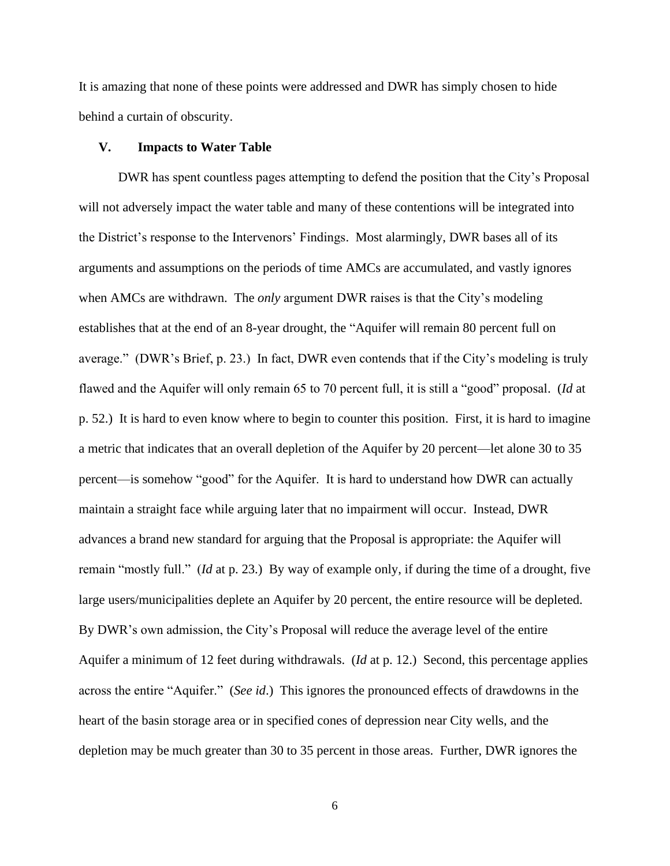It is amazing that none of these points were addressed and DWR has simply chosen to hide behind a curtain of obscurity.

### **V. Impacts to Water Table**

DWR has spent countless pages attempting to defend the position that the City's Proposal will not adversely impact the water table and many of these contentions will be integrated into the District's response to the Intervenors' Findings. Most alarmingly, DWR bases all of its arguments and assumptions on the periods of time AMCs are accumulated, and vastly ignores when AMCs are withdrawn. The *only* argument DWR raises is that the City's modeling establishes that at the end of an 8-year drought, the "Aquifer will remain 80 percent full on average." (DWR's Brief, p. 23.) In fact, DWR even contends that if the City's modeling is truly flawed and the Aquifer will only remain 65 to 70 percent full, it is still a "good" proposal. (*Id* at p. 52.) It is hard to even know where to begin to counter this position. First, it is hard to imagine a metric that indicates that an overall depletion of the Aquifer by 20 percent—let alone 30 to 35 percent—is somehow "good" for the Aquifer. It is hard to understand how DWR can actually maintain a straight face while arguing later that no impairment will occur. Instead, DWR advances a brand new standard for arguing that the Proposal is appropriate: the Aquifer will remain "mostly full." (*Id* at p. 23.) By way of example only, if during the time of a drought, five large users/municipalities deplete an Aquifer by 20 percent, the entire resource will be depleted. By DWR's own admission, the City's Proposal will reduce the average level of the entire Aquifer a minimum of 12 feet during withdrawals. (*Id* at p. 12.) Second, this percentage applies across the entire "Aquifer." (*See id*.) This ignores the pronounced effects of drawdowns in the heart of the basin storage area or in specified cones of depression near City wells, and the depletion may be much greater than 30 to 35 percent in those areas. Further, DWR ignores the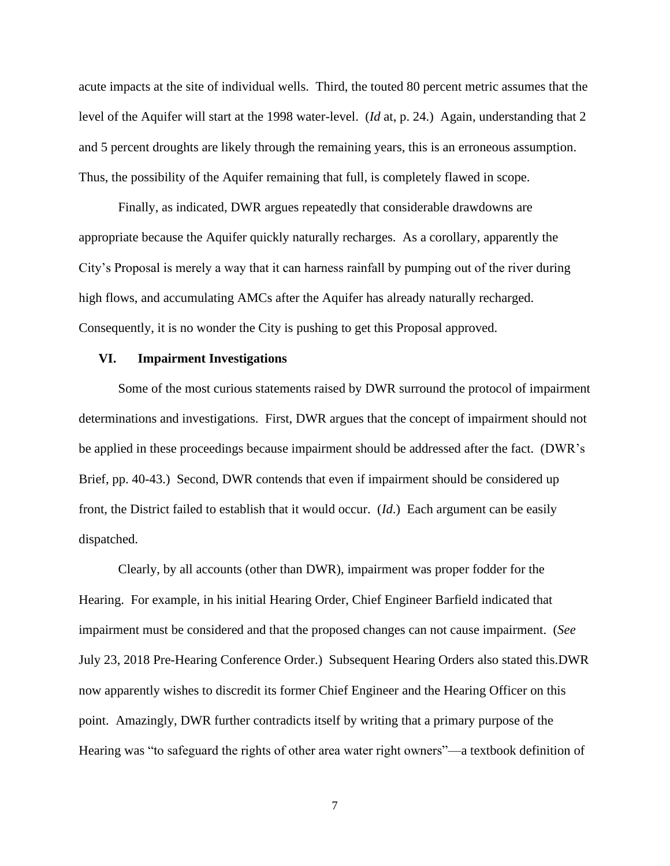acute impacts at the site of individual wells. Third, the touted 80 percent metric assumes that the level of the Aquifer will start at the 1998 water-level. (*Id* at, p. 24.) Again, understanding that 2 and 5 percent droughts are likely through the remaining years, this is an erroneous assumption. Thus, the possibility of the Aquifer remaining that full, is completely flawed in scope.

Finally, as indicated, DWR argues repeatedly that considerable drawdowns are appropriate because the Aquifer quickly naturally recharges. As a corollary, apparently the City's Proposal is merely a way that it can harness rainfall by pumping out of the river during high flows, and accumulating AMCs after the Aquifer has already naturally recharged. Consequently, it is no wonder the City is pushing to get this Proposal approved.

## **VI. Impairment Investigations**

Some of the most curious statements raised by DWR surround the protocol of impairment determinations and investigations. First, DWR argues that the concept of impairment should not be applied in these proceedings because impairment should be addressed after the fact. (DWR's Brief, pp. 40-43.) Second, DWR contends that even if impairment should be considered up front, the District failed to establish that it would occur. (*Id*.) Each argument can be easily dispatched.

Clearly, by all accounts (other than DWR), impairment was proper fodder for the Hearing. For example, in his initial Hearing Order, Chief Engineer Barfield indicated that impairment must be considered and that the proposed changes can not cause impairment. (*See*  July 23, 2018 Pre-Hearing Conference Order.) Subsequent Hearing Orders also stated this.DWR now apparently wishes to discredit its former Chief Engineer and the Hearing Officer on this point. Amazingly, DWR further contradicts itself by writing that a primary purpose of the Hearing was "to safeguard the rights of other area water right owners"—a textbook definition of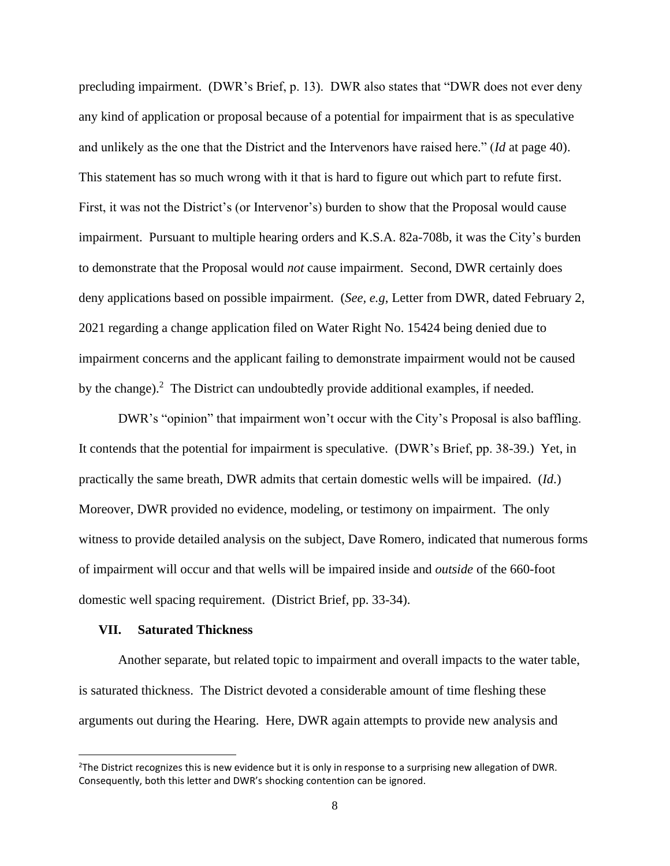precluding impairment. (DWR's Brief, p. 13). DWR also states that "DWR does not ever deny any kind of application or proposal because of a potential for impairment that is as speculative and unlikely as the one that the District and the Intervenors have raised here." (*Id* at page 40). This statement has so much wrong with it that is hard to figure out which part to refute first. First, it was not the District's (or Intervenor's) burden to show that the Proposal would cause impairment. Pursuant to multiple hearing orders and K.S.A. 82a-708b, it was the City's burden to demonstrate that the Proposal would *not* cause impairment. Second, DWR certainly does deny applications based on possible impairment. (*See, e.g*, Letter from DWR, dated February 2, 2021 regarding a change application filed on Water Right No. 15424 being denied due to impairment concerns and the applicant failing to demonstrate impairment would not be caused by the change).<sup>2</sup> The District can undoubtedly provide additional examples, if needed.

DWR's "opinion" that impairment won't occur with the City's Proposal is also baffling. It contends that the potential for impairment is speculative. (DWR's Brief, pp. 38-39.) Yet, in practically the same breath, DWR admits that certain domestic wells will be impaired. (*Id*.) Moreover, DWR provided no evidence, modeling, or testimony on impairment. The only witness to provide detailed analysis on the subject, Dave Romero, indicated that numerous forms of impairment will occur and that wells will be impaired inside and *outside* of the 660-foot domestic well spacing requirement. (District Brief, pp. 33-34).

#### **VII. Saturated Thickness**

Another separate, but related topic to impairment and overall impacts to the water table, is saturated thickness. The District devoted a considerable amount of time fleshing these arguments out during the Hearing. Here, DWR again attempts to provide new analysis and

 $2$ The District recognizes this is new evidence but it is only in response to a surprising new allegation of DWR. Consequently, both this letter and DWR's shocking contention can be ignored.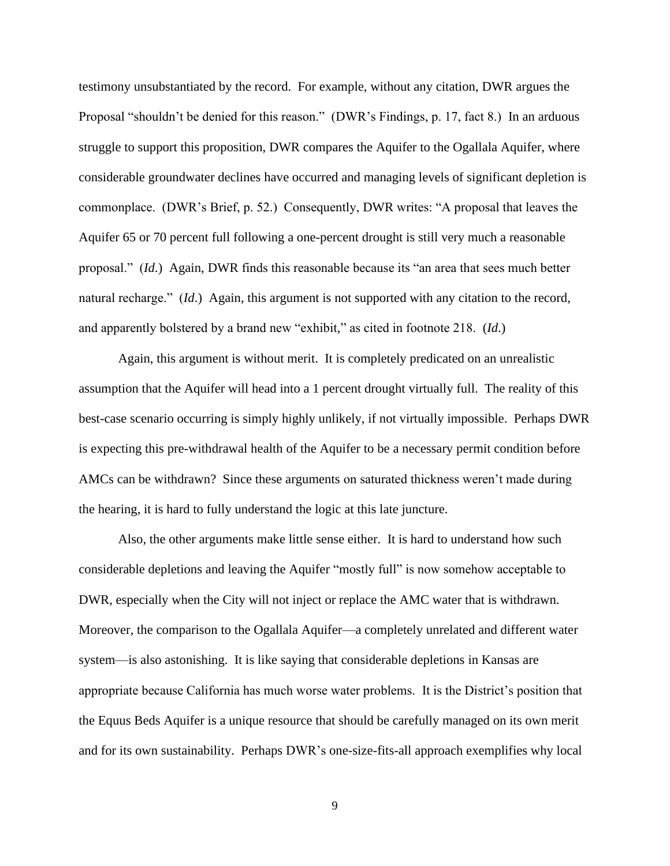testimony unsubstantiated by the record. For example, without any citation, DWR argues the Proposal "shouldn't be denied for this reason." (DWR's Findings, p. 17, fact 8.) In an arduous struggle to support this proposition, DWR compares the Aquifer to the Ogallala Aquifer, where considerable groundwater declines have occurred and managing levels of significant depletion is commonplace. (DWR's Brief, p. 52.) Consequently, DWR writes: "A proposal that leaves the Aquifer 65 or 70 percent full following a one-percent drought is still very much a reasonable proposal." (*Id*.) Again, DWR finds this reasonable because its "an area that sees much better natural recharge." (*Id*.) Again, this argument is not supported with any citation to the record, and apparently bolstered by a brand new "exhibit," as cited in footnote 218. (*Id*.)

Again, this argument is without merit. It is completely predicated on an unrealistic assumption that the Aquifer will head into a 1 percent drought virtually full. The reality of this best-case scenario occurring is simply highly unlikely, if not virtually impossible. Perhaps DWR is expecting this pre-withdrawal health of the Aquifer to be a necessary permit condition before AMCs can be withdrawn? Since these arguments on saturated thickness weren't made during the hearing, it is hard to fully understand the logic at this late juncture.

Also, the other arguments make little sense either. It is hard to understand how such considerable depletions and leaving the Aquifer "mostly full" is now somehow acceptable to DWR, especially when the City will not inject or replace the AMC water that is withdrawn. Moreover, the comparison to the Ogallala Aquifer—a completely unrelated and different water system—is also astonishing. It is like saying that considerable depletions in Kansas are appropriate because California has much worse water problems. It is the District's position that the Equus Beds Aquifer is a unique resource that should be carefully managed on its own merit and for its own sustainability. Perhaps DWR's one-size-fits-all approach exemplifies why local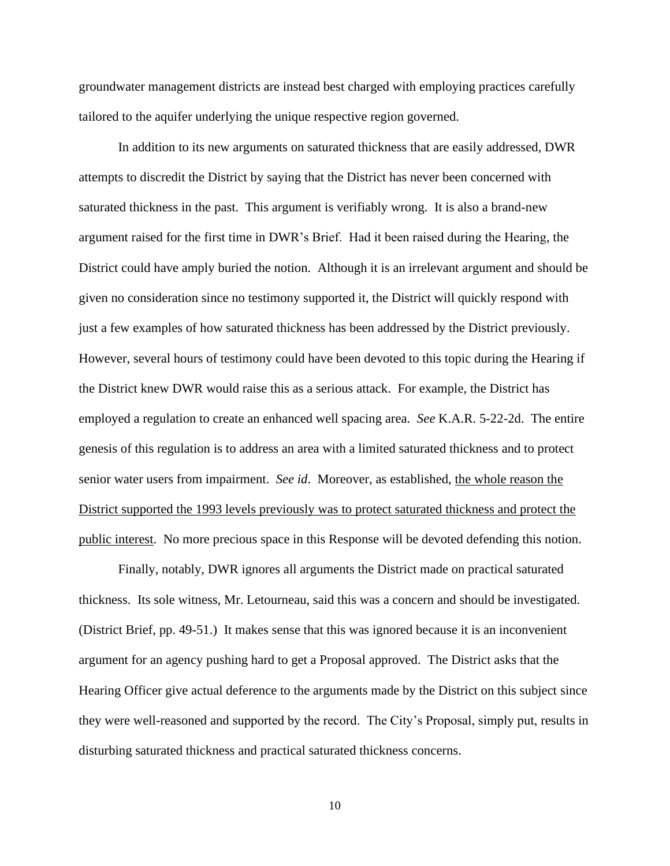groundwater management districts are instead best charged with employing practices carefully tailored to the aquifer underlying the unique respective region governed.

In addition to its new arguments on saturated thickness that are easily addressed, DWR attempts to discredit the District by saying that the District has never been concerned with saturated thickness in the past. This argument is verifiably wrong. It is also a brand-new argument raised for the first time in DWR's Brief. Had it been raised during the Hearing, the District could have amply buried the notion. Although it is an irrelevant argument and should be given no consideration since no testimony supported it, the District will quickly respond with just a few examples of how saturated thickness has been addressed by the District previously. However, several hours of testimony could have been devoted to this topic during the Hearing if the District knew DWR would raise this as a serious attack. For example, the District has employed a regulation to create an enhanced well spacing area. *See* K.A.R. 5-22-2d. The entire genesis of this regulation is to address an area with a limited saturated thickness and to protect senior water users from impairment. *See id*. Moreover, as established, the whole reason the District supported the 1993 levels previously was to protect saturated thickness and protect the public interest. No more precious space in this Response will be devoted defending this notion.

Finally, notably, DWR ignores all arguments the District made on practical saturated thickness. Its sole witness, Mr. Letourneau, said this was a concern and should be investigated. (District Brief, pp. 49-51.) It makes sense that this was ignored because it is an inconvenient argument for an agency pushing hard to get a Proposal approved. The District asks that the Hearing Officer give actual deference to the arguments made by the District on this subject since they were well-reasoned and supported by the record. The City's Proposal, simply put, results in disturbing saturated thickness and practical saturated thickness concerns.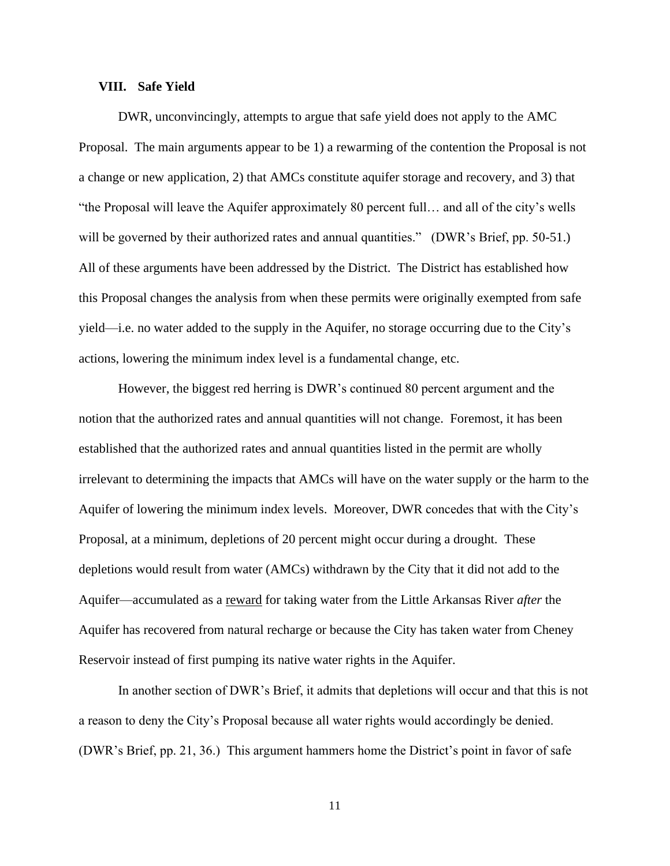# **VIII. Safe Yield**

DWR, unconvincingly, attempts to argue that safe yield does not apply to the AMC Proposal. The main arguments appear to be 1) a rewarming of the contention the Proposal is not a change or new application, 2) that AMCs constitute aquifer storage and recovery, and 3) that "the Proposal will leave the Aquifer approximately 80 percent full… and all of the city's wells will be governed by their authorized rates and annual quantities." (DWR's Brief, pp. 50-51.) All of these arguments have been addressed by the District. The District has established how this Proposal changes the analysis from when these permits were originally exempted from safe yield—i.e. no water added to the supply in the Aquifer, no storage occurring due to the City's actions, lowering the minimum index level is a fundamental change, etc.

However, the biggest red herring is DWR's continued 80 percent argument and the notion that the authorized rates and annual quantities will not change. Foremost, it has been established that the authorized rates and annual quantities listed in the permit are wholly irrelevant to determining the impacts that AMCs will have on the water supply or the harm to the Aquifer of lowering the minimum index levels. Moreover, DWR concedes that with the City's Proposal, at a minimum, depletions of 20 percent might occur during a drought. These depletions would result from water (AMCs) withdrawn by the City that it did not add to the Aquifer—accumulated as a reward for taking water from the Little Arkansas River *after* the Aquifer has recovered from natural recharge or because the City has taken water from Cheney Reservoir instead of first pumping its native water rights in the Aquifer.

In another section of DWR's Brief, it admits that depletions will occur and that this is not a reason to deny the City's Proposal because all water rights would accordingly be denied. (DWR's Brief, pp. 21, 36.) This argument hammers home the District's point in favor of safe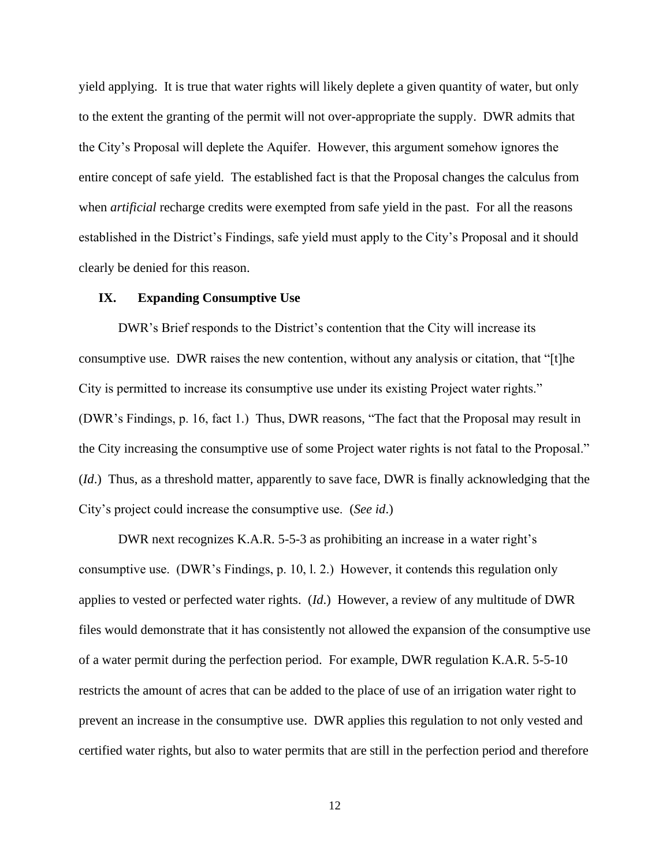yield applying. It is true that water rights will likely deplete a given quantity of water, but only to the extent the granting of the permit will not over-appropriate the supply. DWR admits that the City's Proposal will deplete the Aquifer. However, this argument somehow ignores the entire concept of safe yield. The established fact is that the Proposal changes the calculus from when *artificial* recharge credits were exempted from safe yield in the past. For all the reasons established in the District's Findings, safe yield must apply to the City's Proposal and it should clearly be denied for this reason.

## **IX. Expanding Consumptive Use**

DWR's Brief responds to the District's contention that the City will increase its consumptive use. DWR raises the new contention, without any analysis or citation, that "[t]he City is permitted to increase its consumptive use under its existing Project water rights." (DWR's Findings, p. 16, fact 1.) Thus, DWR reasons, "The fact that the Proposal may result in the City increasing the consumptive use of some Project water rights is not fatal to the Proposal." (*Id*.) Thus, as a threshold matter, apparently to save face, DWR is finally acknowledging that the City's project could increase the consumptive use. (*See id*.)

DWR next recognizes K.A.R. 5-5-3 as prohibiting an increase in a water right's consumptive use. (DWR's Findings, p. 10, l. 2.) However, it contends this regulation only applies to vested or perfected water rights. (*Id*.) However, a review of any multitude of DWR files would demonstrate that it has consistently not allowed the expansion of the consumptive use of a water permit during the perfection period. For example, DWR regulation K.A.R. 5-5-10 restricts the amount of acres that can be added to the place of use of an irrigation water right to prevent an increase in the consumptive use. DWR applies this regulation to not only vested and certified water rights, but also to water permits that are still in the perfection period and therefore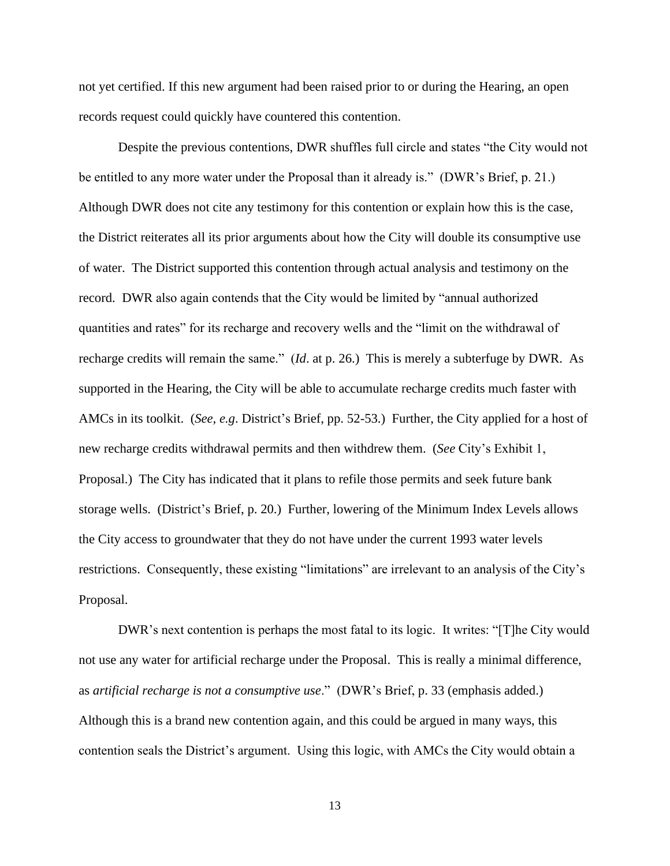not yet certified. If this new argument had been raised prior to or during the Hearing, an open records request could quickly have countered this contention.

Despite the previous contentions, DWR shuffles full circle and states "the City would not be entitled to any more water under the Proposal than it already is." (DWR's Brief, p. 21.) Although DWR does not cite any testimony for this contention or explain how this is the case, the District reiterates all its prior arguments about how the City will double its consumptive use of water. The District supported this contention through actual analysis and testimony on the record. DWR also again contends that the City would be limited by "annual authorized quantities and rates" for its recharge and recovery wells and the "limit on the withdrawal of recharge credits will remain the same." (*Id*. at p. 26.) This is merely a subterfuge by DWR. As supported in the Hearing, the City will be able to accumulate recharge credits much faster with AMCs in its toolkit. (*See, e.g*. District's Brief, pp. 52-53.) Further, the City applied for a host of new recharge credits withdrawal permits and then withdrew them. (*See* City's Exhibit 1, Proposal.) The City has indicated that it plans to refile those permits and seek future bank storage wells. (District's Brief, p. 20.) Further, lowering of the Minimum Index Levels allows the City access to groundwater that they do not have under the current 1993 water levels restrictions. Consequently, these existing "limitations" are irrelevant to an analysis of the City's Proposal.

DWR's next contention is perhaps the most fatal to its logic. It writes: "[T]he City would not use any water for artificial recharge under the Proposal. This is really a minimal difference, as *artificial recharge is not a consumptive use*." (DWR's Brief, p. 33 (emphasis added.) Although this is a brand new contention again, and this could be argued in many ways, this contention seals the District's argument. Using this logic, with AMCs the City would obtain a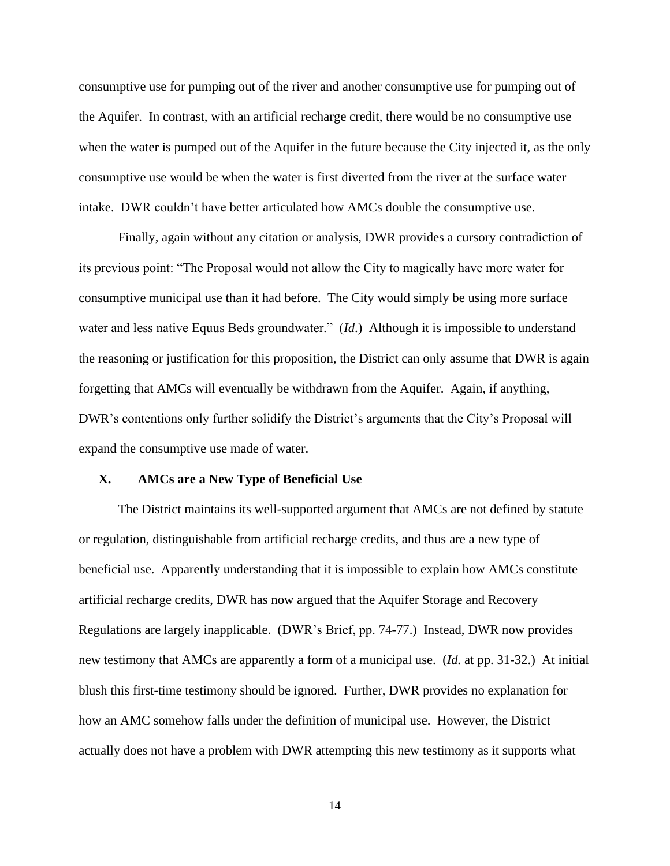consumptive use for pumping out of the river and another consumptive use for pumping out of the Aquifer. In contrast, with an artificial recharge credit, there would be no consumptive use when the water is pumped out of the Aquifer in the future because the City injected it, as the only consumptive use would be when the water is first diverted from the river at the surface water intake. DWR couldn't have better articulated how AMCs double the consumptive use.

Finally, again without any citation or analysis, DWR provides a cursory contradiction of its previous point: "The Proposal would not allow the City to magically have more water for consumptive municipal use than it had before. The City would simply be using more surface water and less native Equus Beds groundwater." (*Id*.) Although it is impossible to understand the reasoning or justification for this proposition, the District can only assume that DWR is again forgetting that AMCs will eventually be withdrawn from the Aquifer. Again, if anything, DWR's contentions only further solidify the District's arguments that the City's Proposal will expand the consumptive use made of water.

# **X. AMCs are a New Type of Beneficial Use**

The District maintains its well-supported argument that AMCs are not defined by statute or regulation, distinguishable from artificial recharge credits, and thus are a new type of beneficial use. Apparently understanding that it is impossible to explain how AMCs constitute artificial recharge credits, DWR has now argued that the Aquifer Storage and Recovery Regulations are largely inapplicable. (DWR's Brief, pp. 74-77.) Instead, DWR now provides new testimony that AMCs are apparently a form of a municipal use. (*Id.* at pp. 31-32.) At initial blush this first-time testimony should be ignored. Further, DWR provides no explanation for how an AMC somehow falls under the definition of municipal use. However, the District actually does not have a problem with DWR attempting this new testimony as it supports what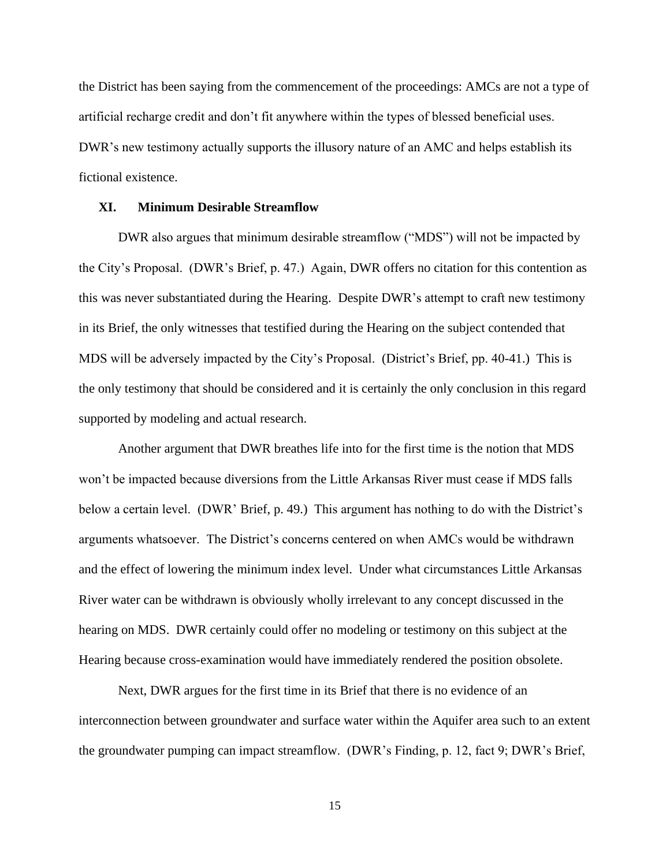the District has been saying from the commencement of the proceedings: AMCs are not a type of artificial recharge credit and don't fit anywhere within the types of blessed beneficial uses. DWR's new testimony actually supports the illusory nature of an AMC and helps establish its fictional existence.

# **XI. Minimum Desirable Streamflow**

DWR also argues that minimum desirable streamflow ("MDS") will not be impacted by the City's Proposal. (DWR's Brief, p. 47.) Again, DWR offers no citation for this contention as this was never substantiated during the Hearing. Despite DWR's attempt to craft new testimony in its Brief, the only witnesses that testified during the Hearing on the subject contended that MDS will be adversely impacted by the City's Proposal. (District's Brief, pp. 40-41.) This is the only testimony that should be considered and it is certainly the only conclusion in this regard supported by modeling and actual research.

Another argument that DWR breathes life into for the first time is the notion that MDS won't be impacted because diversions from the Little Arkansas River must cease if MDS falls below a certain level. (DWR' Brief, p. 49.) This argument has nothing to do with the District's arguments whatsoever. The District's concerns centered on when AMCs would be withdrawn and the effect of lowering the minimum index level. Under what circumstances Little Arkansas River water can be withdrawn is obviously wholly irrelevant to any concept discussed in the hearing on MDS. DWR certainly could offer no modeling or testimony on this subject at the Hearing because cross-examination would have immediately rendered the position obsolete.

Next, DWR argues for the first time in its Brief that there is no evidence of an interconnection between groundwater and surface water within the Aquifer area such to an extent the groundwater pumping can impact streamflow. (DWR's Finding, p. 12, fact 9; DWR's Brief,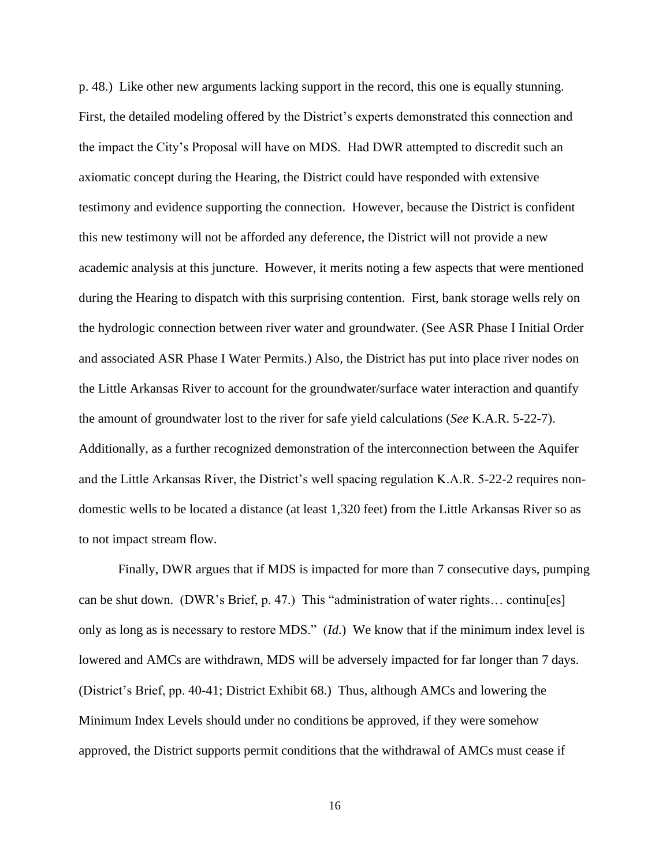p. 48.) Like other new arguments lacking support in the record, this one is equally stunning. First, the detailed modeling offered by the District's experts demonstrated this connection and the impact the City's Proposal will have on MDS. Had DWR attempted to discredit such an axiomatic concept during the Hearing, the District could have responded with extensive testimony and evidence supporting the connection. However, because the District is confident this new testimony will not be afforded any deference, the District will not provide a new academic analysis at this juncture. However, it merits noting a few aspects that were mentioned during the Hearing to dispatch with this surprising contention. First, bank storage wells rely on the hydrologic connection between river water and groundwater. (See ASR Phase I Initial Order and associated ASR Phase I Water Permits.) Also, the District has put into place river nodes on the Little Arkansas River to account for the groundwater/surface water interaction and quantify the amount of groundwater lost to the river for safe yield calculations (*See* K.A.R. 5-22-7). Additionally, as a further recognized demonstration of the interconnection between the Aquifer and the Little Arkansas River, the District's well spacing regulation K.A.R. 5-22-2 requires nondomestic wells to be located a distance (at least 1,320 feet) from the Little Arkansas River so as to not impact stream flow.

Finally, DWR argues that if MDS is impacted for more than 7 consecutive days, pumping can be shut down. (DWR's Brief, p. 47.) This "administration of water rights… continu[es] only as long as is necessary to restore MDS." (*Id*.) We know that if the minimum index level is lowered and AMCs are withdrawn, MDS will be adversely impacted for far longer than 7 days. (District's Brief, pp. 40-41; District Exhibit 68.) Thus, although AMCs and lowering the Minimum Index Levels should under no conditions be approved, if they were somehow approved, the District supports permit conditions that the withdrawal of AMCs must cease if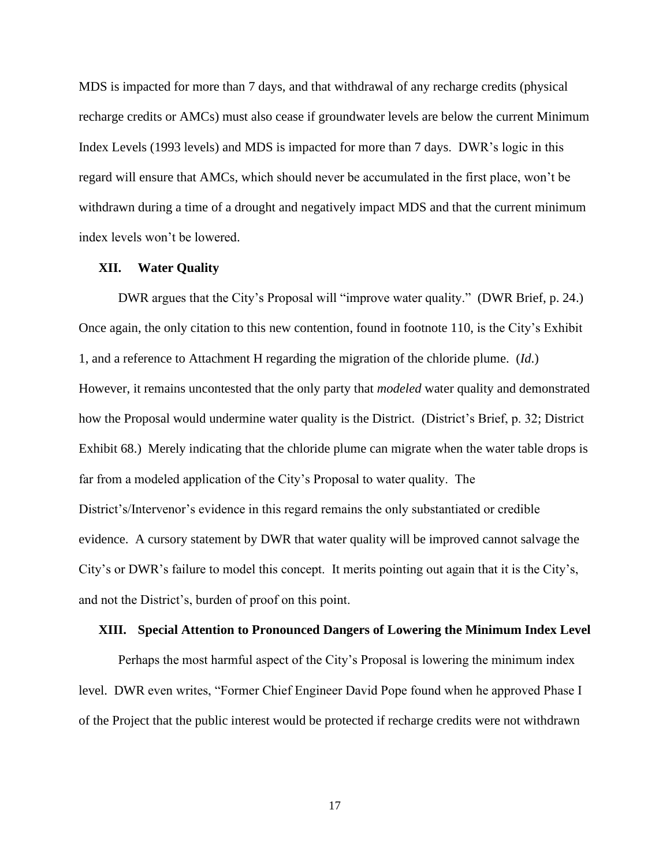MDS is impacted for more than 7 days, and that withdrawal of any recharge credits (physical recharge credits or AMCs) must also cease if groundwater levels are below the current Minimum Index Levels (1993 levels) and MDS is impacted for more than 7 days. DWR's logic in this regard will ensure that AMCs, which should never be accumulated in the first place, won't be withdrawn during a time of a drought and negatively impact MDS and that the current minimum index levels won't be lowered.

#### **XII. Water Quality**

DWR argues that the City's Proposal will "improve water quality." (DWR Brief, p. 24.) Once again, the only citation to this new contention, found in footnote 110, is the City's Exhibit 1, and a reference to Attachment H regarding the migration of the chloride plume. (*Id*.) However, it remains uncontested that the only party that *modeled* water quality and demonstrated how the Proposal would undermine water quality is the District. (District's Brief, p. 32; District Exhibit 68.) Merely indicating that the chloride plume can migrate when the water table drops is far from a modeled application of the City's Proposal to water quality. The District's/Intervenor's evidence in this regard remains the only substantiated or credible evidence. A cursory statement by DWR that water quality will be improved cannot salvage the City's or DWR's failure to model this concept. It merits pointing out again that it is the City's, and not the District's, burden of proof on this point.

#### **XIII. Special Attention to Pronounced Dangers of Lowering the Minimum Index Level**

Perhaps the most harmful aspect of the City's Proposal is lowering the minimum index level. DWR even writes, "Former Chief Engineer David Pope found when he approved Phase I of the Project that the public interest would be protected if recharge credits were not withdrawn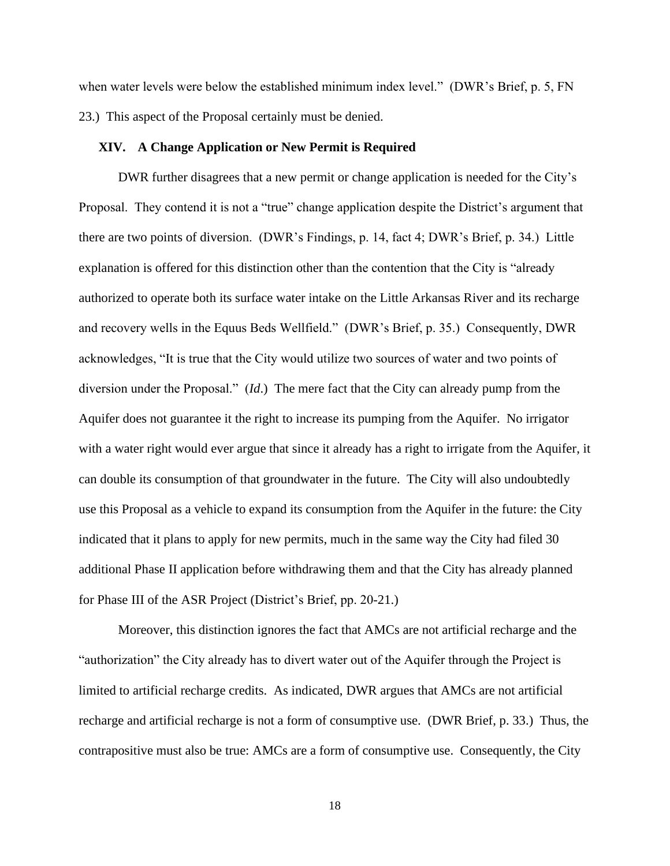when water levels were below the established minimum index level." (DWR's Brief, p. 5, FN 23.) This aspect of the Proposal certainly must be denied.

# **XIV. A Change Application or New Permit is Required**

DWR further disagrees that a new permit or change application is needed for the City's Proposal. They contend it is not a "true" change application despite the District's argument that there are two points of diversion. (DWR's Findings, p. 14, fact 4; DWR's Brief, p. 34.) Little explanation is offered for this distinction other than the contention that the City is "already authorized to operate both its surface water intake on the Little Arkansas River and its recharge and recovery wells in the Equus Beds Wellfield." (DWR's Brief, p. 35.) Consequently, DWR acknowledges, "It is true that the City would utilize two sources of water and two points of diversion under the Proposal." (*Id*.) The mere fact that the City can already pump from the Aquifer does not guarantee it the right to increase its pumping from the Aquifer. No irrigator with a water right would ever argue that since it already has a right to irrigate from the Aquifer, it can double its consumption of that groundwater in the future. The City will also undoubtedly use this Proposal as a vehicle to expand its consumption from the Aquifer in the future: the City indicated that it plans to apply for new permits, much in the same way the City had filed 30 additional Phase II application before withdrawing them and that the City has already planned for Phase III of the ASR Project (District's Brief, pp. 20-21.)

Moreover, this distinction ignores the fact that AMCs are not artificial recharge and the "authorization" the City already has to divert water out of the Aquifer through the Project is limited to artificial recharge credits. As indicated, DWR argues that AMCs are not artificial recharge and artificial recharge is not a form of consumptive use. (DWR Brief, p. 33.) Thus, the contrapositive must also be true: AMCs are a form of consumptive use. Consequently, the City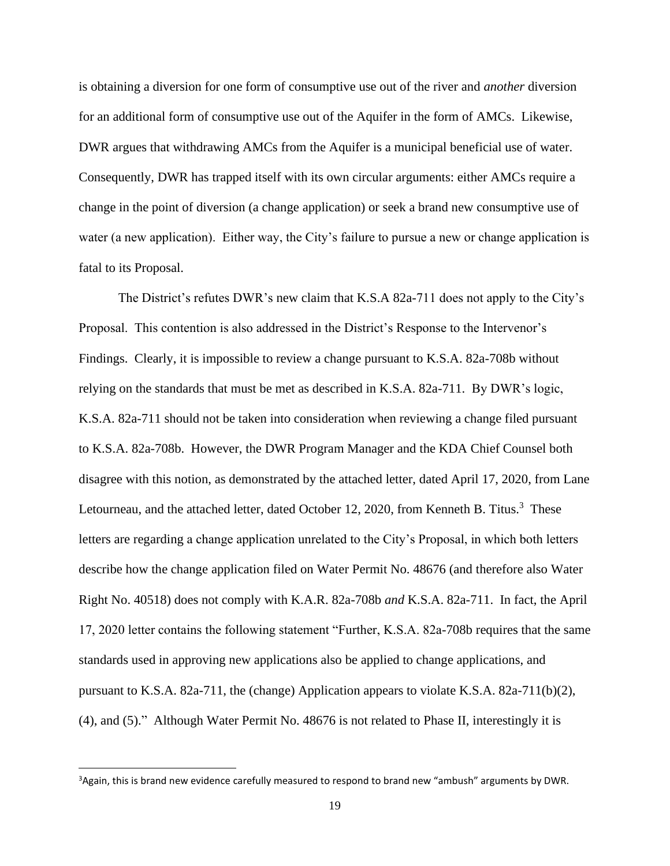is obtaining a diversion for one form of consumptive use out of the river and *another* diversion for an additional form of consumptive use out of the Aquifer in the form of AMCs. Likewise, DWR argues that withdrawing AMCs from the Aquifer is a municipal beneficial use of water. Consequently, DWR has trapped itself with its own circular arguments: either AMCs require a change in the point of diversion (a change application) or seek a brand new consumptive use of water (a new application). Either way, the City's failure to pursue a new or change application is fatal to its Proposal.

The District's refutes DWR's new claim that K.S.A 82a-711 does not apply to the City's Proposal. This contention is also addressed in the District's Response to the Intervenor's Findings. Clearly, it is impossible to review a change pursuant to K.S.A. 82a-708b without relying on the standards that must be met as described in K.S.A. 82a-711. By DWR's logic, K.S.A. 82a-711 should not be taken into consideration when reviewing a change filed pursuant to K.S.A. 82a-708b. However, the DWR Program Manager and the KDA Chief Counsel both disagree with this notion, as demonstrated by the attached letter, dated April 17, 2020, from Lane Letourneau, and the attached letter, dated October 12, 2020, from Kenneth B. Titus.<sup>3</sup> These letters are regarding a change application unrelated to the City's Proposal, in which both letters describe how the change application filed on Water Permit No. 48676 (and therefore also Water Right No. 40518) does not comply with K.A.R. 82a-708b *and* K.S.A. 82a-711. In fact, the April 17, 2020 letter contains the following statement "Further, K.S.A. 82a-708b requires that the same standards used in approving new applications also be applied to change applications, and pursuant to K.S.A. 82a-711, the (change) Application appears to violate K.S.A. 82a-711(b)(2), (4), and (5)." Although Water Permit No. 48676 is not related to Phase II, interestingly it is

<sup>&</sup>lt;sup>3</sup> Again, this is brand new evidence carefully measured to respond to brand new "ambush" arguments by DWR.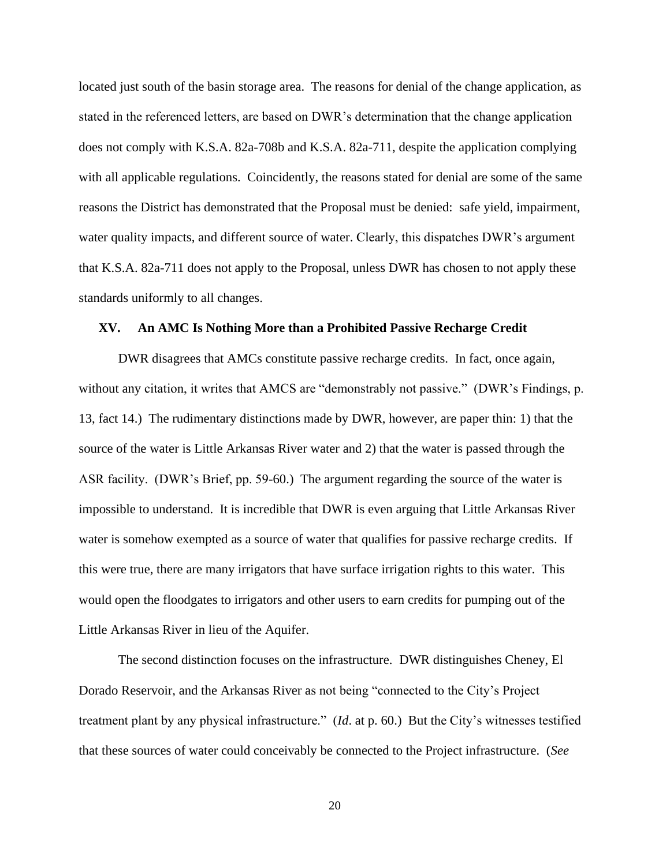located just south of the basin storage area. The reasons for denial of the change application, as stated in the referenced letters, are based on DWR's determination that the change application does not comply with K.S.A. 82a-708b and K.S.A. 82a-711, despite the application complying with all applicable regulations. Coincidently, the reasons stated for denial are some of the same reasons the District has demonstrated that the Proposal must be denied: safe yield, impairment, water quality impacts, and different source of water. Clearly, this dispatches DWR's argument that K.S.A. 82a-711 does not apply to the Proposal, unless DWR has chosen to not apply these standards uniformly to all changes.

## **XV. An AMC Is Nothing More than a Prohibited Passive Recharge Credit**

DWR disagrees that AMCs constitute passive recharge credits. In fact, once again, without any citation, it writes that AMCS are "demonstrably not passive." (DWR's Findings, p. 13, fact 14.) The rudimentary distinctions made by DWR, however, are paper thin: 1) that the source of the water is Little Arkansas River water and 2) that the water is passed through the ASR facility. (DWR's Brief, pp. 59-60.) The argument regarding the source of the water is impossible to understand. It is incredible that DWR is even arguing that Little Arkansas River water is somehow exempted as a source of water that qualifies for passive recharge credits. If this were true, there are many irrigators that have surface irrigation rights to this water. This would open the floodgates to irrigators and other users to earn credits for pumping out of the Little Arkansas River in lieu of the Aquifer.

The second distinction focuses on the infrastructure. DWR distinguishes Cheney, El Dorado Reservoir, and the Arkansas River as not being "connected to the City's Project treatment plant by any physical infrastructure." (*Id*. at p. 60.) But the City's witnesses testified that these sources of water could conceivably be connected to the Project infrastructure. (*See*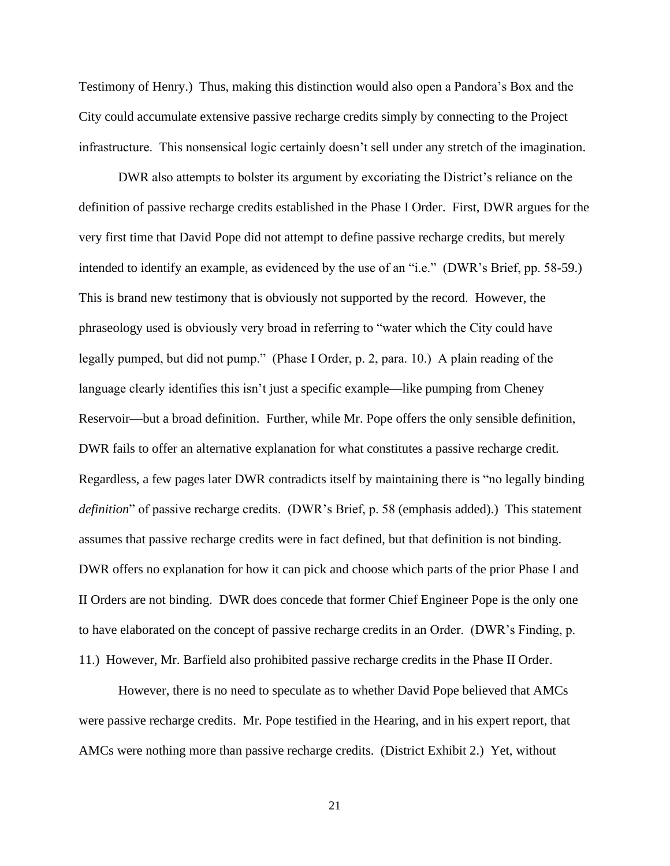Testimony of Henry.) Thus, making this distinction would also open a Pandora's Box and the City could accumulate extensive passive recharge credits simply by connecting to the Project infrastructure. This nonsensical logic certainly doesn't sell under any stretch of the imagination.

DWR also attempts to bolster its argument by excoriating the District's reliance on the definition of passive recharge credits established in the Phase I Order. First, DWR argues for the very first time that David Pope did not attempt to define passive recharge credits, but merely intended to identify an example, as evidenced by the use of an "i.e." (DWR's Brief, pp. 58-59.) This is brand new testimony that is obviously not supported by the record. However, the phraseology used is obviously very broad in referring to "water which the City could have legally pumped, but did not pump." (Phase I Order, p. 2, para. 10.) A plain reading of the language clearly identifies this isn't just a specific example—like pumping from Cheney Reservoir—but a broad definition. Further, while Mr. Pope offers the only sensible definition, DWR fails to offer an alternative explanation for what constitutes a passive recharge credit. Regardless, a few pages later DWR contradicts itself by maintaining there is "no legally binding *definition*" of passive recharge credits. (DWR's Brief, p. 58 (emphasis added).) This statement assumes that passive recharge credits were in fact defined, but that definition is not binding. DWR offers no explanation for how it can pick and choose which parts of the prior Phase I and II Orders are not binding. DWR does concede that former Chief Engineer Pope is the only one to have elaborated on the concept of passive recharge credits in an Order. (DWR's Finding, p. 11.) However, Mr. Barfield also prohibited passive recharge credits in the Phase II Order.

However, there is no need to speculate as to whether David Pope believed that AMCs were passive recharge credits. Mr. Pope testified in the Hearing, and in his expert report, that AMCs were nothing more than passive recharge credits. (District Exhibit 2.) Yet, without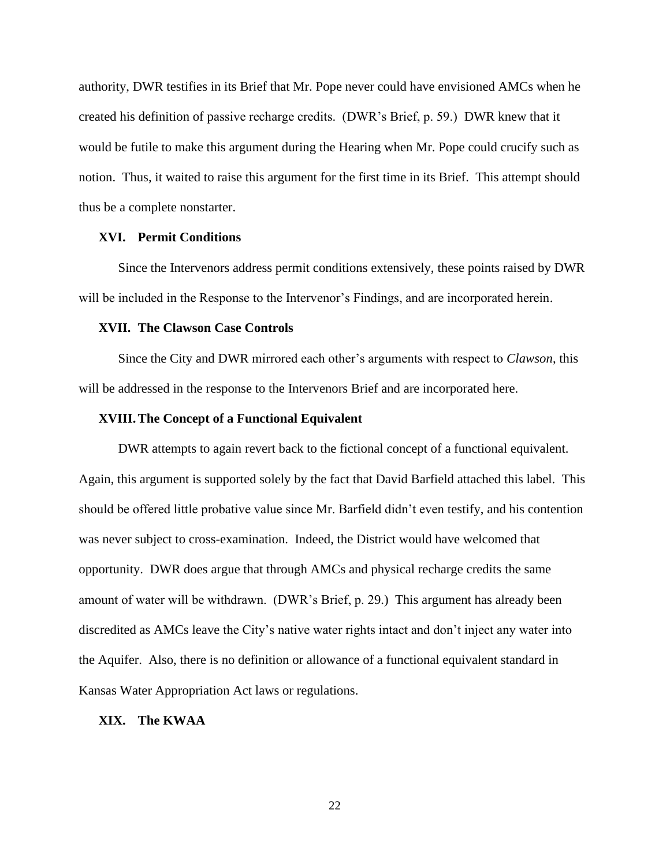authority, DWR testifies in its Brief that Mr. Pope never could have envisioned AMCs when he created his definition of passive recharge credits. (DWR's Brief, p. 59.) DWR knew that it would be futile to make this argument during the Hearing when Mr. Pope could crucify such as notion. Thus, it waited to raise this argument for the first time in its Brief. This attempt should thus be a complete nonstarter.

# **XVI. Permit Conditions**

Since the Intervenors address permit conditions extensively, these points raised by DWR will be included in the Response to the Intervenor's Findings, and are incorporated herein.

## **XVII. The Clawson Case Controls**

Since the City and DWR mirrored each other's arguments with respect to *Clawson*, this will be addressed in the response to the Intervenors Brief and are incorporated here.

# **XVIII.The Concept of a Functional Equivalent**

DWR attempts to again revert back to the fictional concept of a functional equivalent. Again, this argument is supported solely by the fact that David Barfield attached this label. This should be offered little probative value since Mr. Barfield didn't even testify, and his contention was never subject to cross-examination. Indeed, the District would have welcomed that opportunity. DWR does argue that through AMCs and physical recharge credits the same amount of water will be withdrawn. (DWR's Brief, p. 29.) This argument has already been discredited as AMCs leave the City's native water rights intact and don't inject any water into the Aquifer. Also, there is no definition or allowance of a functional equivalent standard in Kansas Water Appropriation Act laws or regulations.

# **XIX. The KWAA**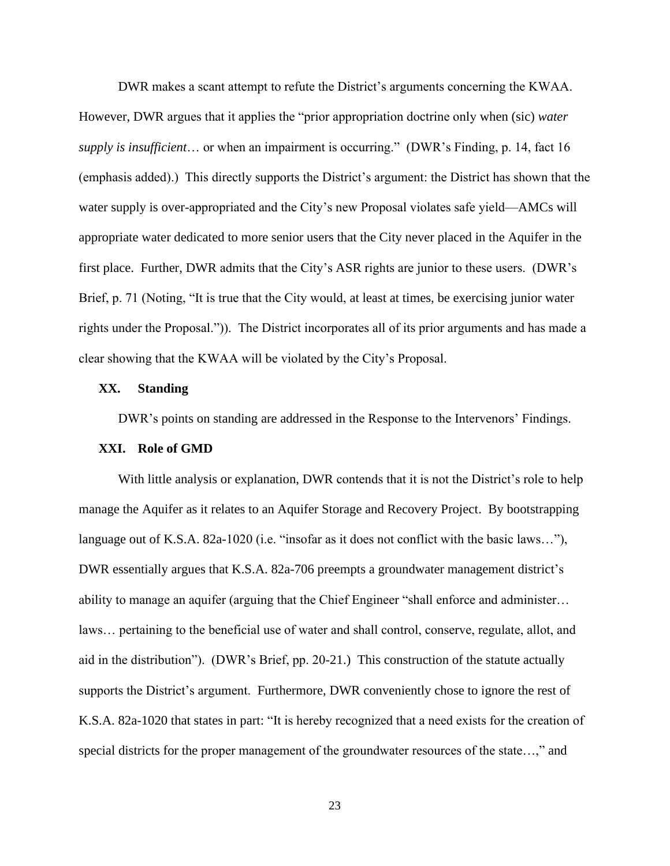DWR makes a scant attempt to refute the District's arguments concerning the KWAA. However, DWR argues that it applies the "prior appropriation doctrine only when (sic) *water supply is insufficient*… or when an impairment is occurring." (DWR's Finding, p. 14, fact 16 (emphasis added).) This directly supports the District's argument: the District has shown that the water supply is over-appropriated and the City's new Proposal violates safe yield—AMCs will appropriate water dedicated to more senior users that the City never placed in the Aquifer in the first place. Further, DWR admits that the City's ASR rights are junior to these users. (DWR's Brief, p. 71 (Noting, "It is true that the City would, at least at times, be exercising junior water rights under the Proposal.")). The District incorporates all of its prior arguments and has made a clear showing that the KWAA will be violated by the City's Proposal.

# **XX. Standing**

DWR's points on standing are addressed in the Response to the Intervenors' Findings.

## **XXI. Role of GMD**

With little analysis or explanation, DWR contends that it is not the District's role to help manage the Aquifer as it relates to an Aquifer Storage and Recovery Project. By bootstrapping language out of K.S.A. 82a-1020 (i.e. "insofar as it does not conflict with the basic laws…"), DWR essentially argues that K.S.A. 82a-706 preempts a groundwater management district's ability to manage an aquifer (arguing that the Chief Engineer "shall enforce and administer… laws… pertaining to the beneficial use of water and shall control, conserve, regulate, allot, and aid in the distribution"). (DWR's Brief, pp. 20-21.) This construction of the statute actually supports the District's argument. Furthermore, DWR conveniently chose to ignore the rest of K.S.A. 82a-1020 that states in part: "It is hereby recognized that a need exists for the creation of special districts for the proper management of the groundwater resources of the state...," and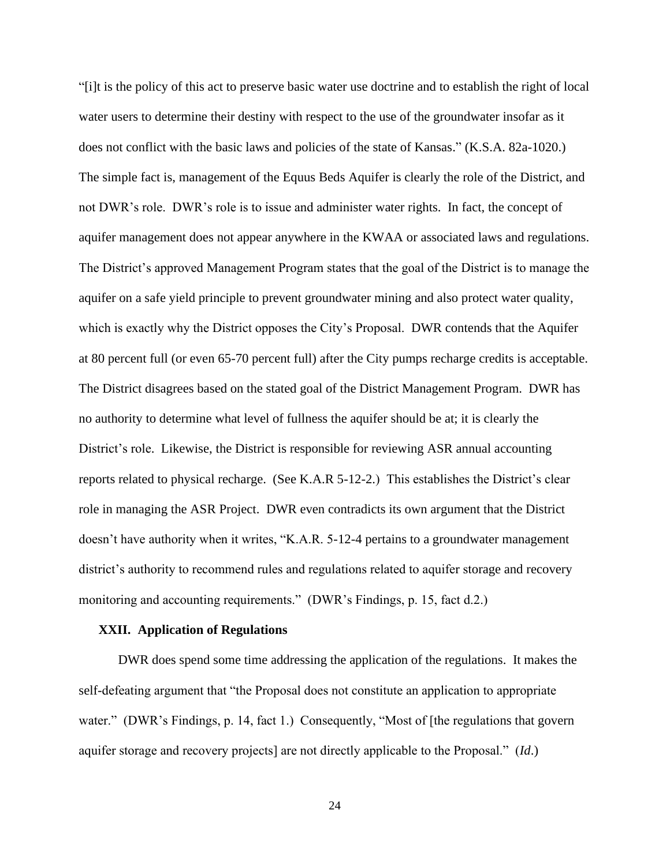"[i]t is the policy of this act to preserve basic water use doctrine and to establish the right of local water users to determine their destiny with respect to the use of the groundwater insofar as it does not conflict with the basic laws and policies of the state of Kansas." (K.S.A. 82a-1020.) The simple fact is, management of the Equus Beds Aquifer is clearly the role of the District, and not DWR's role. DWR's role is to issue and administer water rights. In fact, the concept of aquifer management does not appear anywhere in the KWAA or associated laws and regulations. The District's approved Management Program states that the goal of the District is to manage the aquifer on a safe yield principle to prevent groundwater mining and also protect water quality, which is exactly why the District opposes the City's Proposal. DWR contends that the Aquifer at 80 percent full (or even 65-70 percent full) after the City pumps recharge credits is acceptable. The District disagrees based on the stated goal of the District Management Program. DWR has no authority to determine what level of fullness the aquifer should be at; it is clearly the District's role. Likewise, the District is responsible for reviewing ASR annual accounting reports related to physical recharge. (See K.A.R 5-12-2.) This establishes the District's clear role in managing the ASR Project. DWR even contradicts its own argument that the District doesn't have authority when it writes, "K.A.R. 5-12-4 pertains to a groundwater management district's authority to recommend rules and regulations related to aquifer storage and recovery monitoring and accounting requirements." (DWR's Findings, p. 15, fact d.2.)

#### **XXII. Application of Regulations**

DWR does spend some time addressing the application of the regulations. It makes the self-defeating argument that "the Proposal does not constitute an application to appropriate water." (DWR's Findings, p. 14, fact 1.) Consequently, "Most of [the regulations that govern aquifer storage and recovery projects] are not directly applicable to the Proposal." (*Id*.)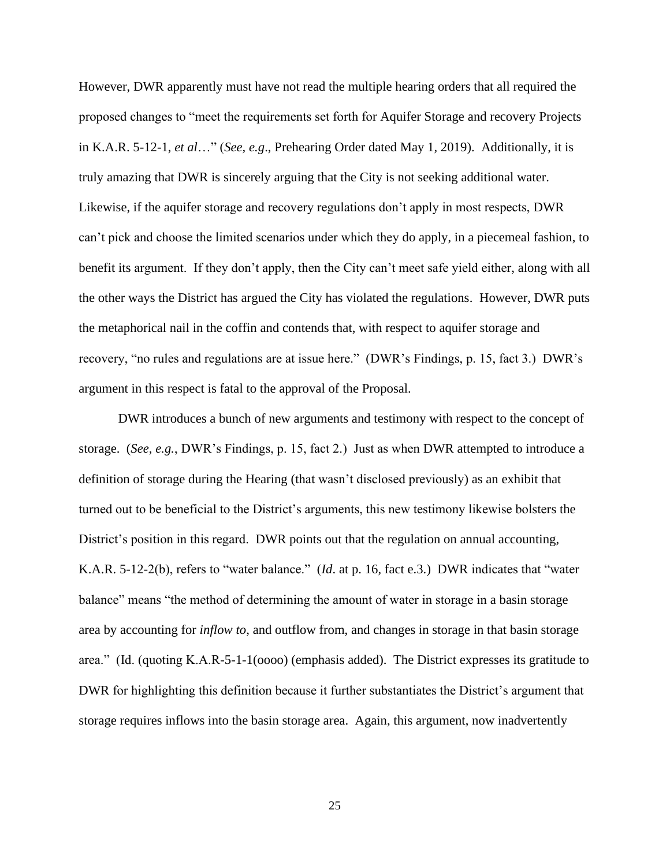However, DWR apparently must have not read the multiple hearing orders that all required the proposed changes to "meet the requirements set forth for Aquifer Storage and recovery Projects in K.A.R. 5-12-1, *et al*…" (*See, e.g*., Prehearing Order dated May 1, 2019). Additionally, it is truly amazing that DWR is sincerely arguing that the City is not seeking additional water. Likewise, if the aquifer storage and recovery regulations don't apply in most respects, DWR can't pick and choose the limited scenarios under which they do apply, in a piecemeal fashion, to benefit its argument. If they don't apply, then the City can't meet safe yield either, along with all the other ways the District has argued the City has violated the regulations. However, DWR puts the metaphorical nail in the coffin and contends that, with respect to aquifer storage and recovery, "no rules and regulations are at issue here." (DWR's Findings, p. 15, fact 3.) DWR's argument in this respect is fatal to the approval of the Proposal.

DWR introduces a bunch of new arguments and testimony with respect to the concept of storage. (*See, e.g.*, DWR's Findings, p. 15, fact 2.) Just as when DWR attempted to introduce a definition of storage during the Hearing (that wasn't disclosed previously) as an exhibit that turned out to be beneficial to the District's arguments, this new testimony likewise bolsters the District's position in this regard. DWR points out that the regulation on annual accounting, K.A.R. 5-12-2(b), refers to "water balance." (*Id*. at p. 16, fact e.3.) DWR indicates that "water balance" means "the method of determining the amount of water in storage in a basin storage area by accounting for *inflow to*, and outflow from, and changes in storage in that basin storage area." (Id. (quoting K.A.R-5-1-1(oooo) (emphasis added). The District expresses its gratitude to DWR for highlighting this definition because it further substantiates the District's argument that storage requires inflows into the basin storage area. Again, this argument, now inadvertently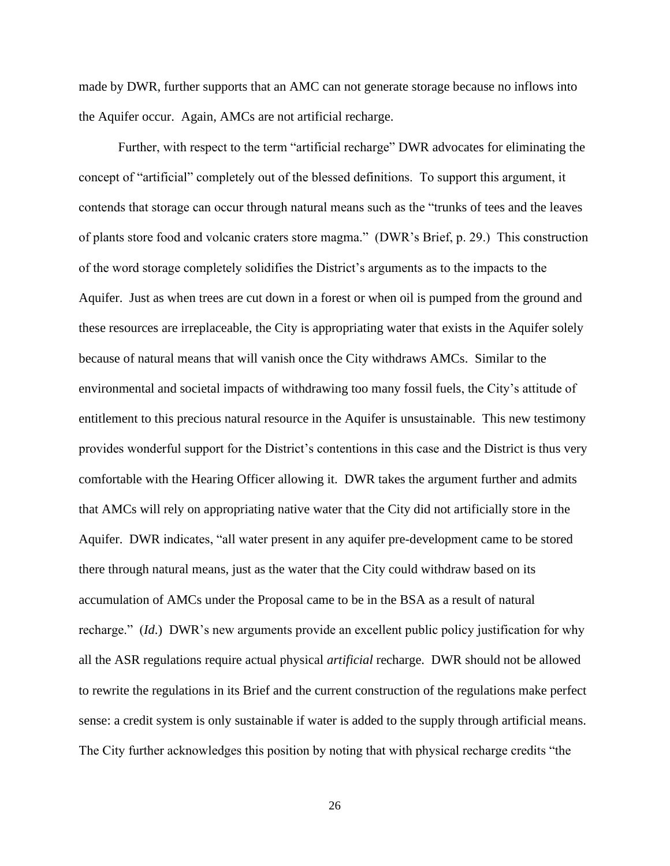made by DWR, further supports that an AMC can not generate storage because no inflows into the Aquifer occur. Again, AMCs are not artificial recharge.

Further, with respect to the term "artificial recharge" DWR advocates for eliminating the concept of "artificial" completely out of the blessed definitions. To support this argument, it contends that storage can occur through natural means such as the "trunks of tees and the leaves of plants store food and volcanic craters store magma." (DWR's Brief, p. 29.) This construction of the word storage completely solidifies the District's arguments as to the impacts to the Aquifer. Just as when trees are cut down in a forest or when oil is pumped from the ground and these resources are irreplaceable, the City is appropriating water that exists in the Aquifer solely because of natural means that will vanish once the City withdraws AMCs. Similar to the environmental and societal impacts of withdrawing too many fossil fuels, the City's attitude of entitlement to this precious natural resource in the Aquifer is unsustainable. This new testimony provides wonderful support for the District's contentions in this case and the District is thus very comfortable with the Hearing Officer allowing it. DWR takes the argument further and admits that AMCs will rely on appropriating native water that the City did not artificially store in the Aquifer. DWR indicates, "all water present in any aquifer pre-development came to be stored there through natural means, just as the water that the City could withdraw based on its accumulation of AMCs under the Proposal came to be in the BSA as a result of natural recharge." (*Id*.) DWR's new arguments provide an excellent public policy justification for why all the ASR regulations require actual physical *artificial* recharge. DWR should not be allowed to rewrite the regulations in its Brief and the current construction of the regulations make perfect sense: a credit system is only sustainable if water is added to the supply through artificial means. The City further acknowledges this position by noting that with physical recharge credits "the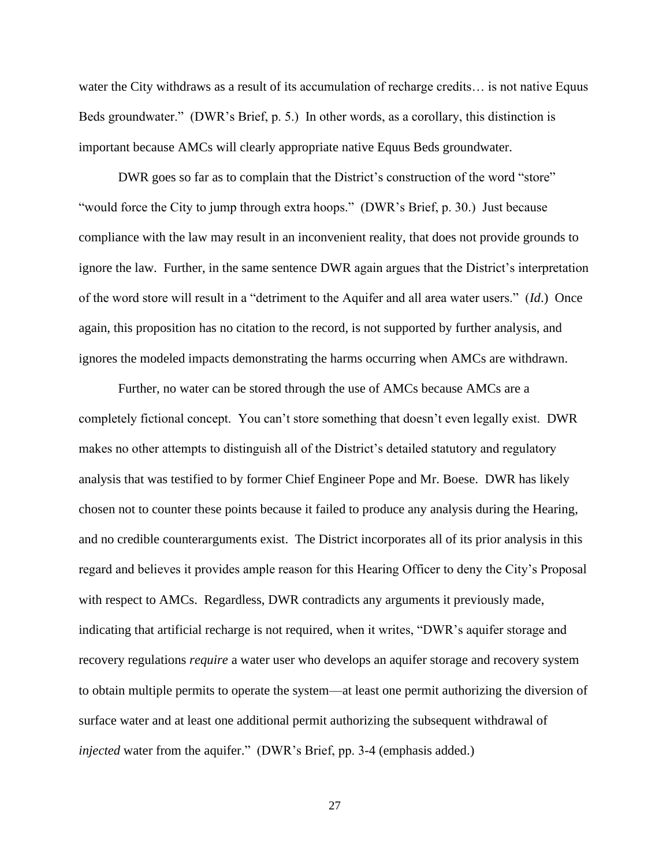water the City withdraws as a result of its accumulation of recharge credits... is not native Equus Beds groundwater." (DWR's Brief, p. 5.) In other words, as a corollary, this distinction is important because AMCs will clearly appropriate native Equus Beds groundwater.

DWR goes so far as to complain that the District's construction of the word "store" "would force the City to jump through extra hoops." (DWR's Brief, p. 30.) Just because compliance with the law may result in an inconvenient reality, that does not provide grounds to ignore the law. Further, in the same sentence DWR again argues that the District's interpretation of the word store will result in a "detriment to the Aquifer and all area water users." (*Id*.) Once again, this proposition has no citation to the record, is not supported by further analysis, and ignores the modeled impacts demonstrating the harms occurring when AMCs are withdrawn.

Further, no water can be stored through the use of AMCs because AMCs are a completely fictional concept. You can't store something that doesn't even legally exist. DWR makes no other attempts to distinguish all of the District's detailed statutory and regulatory analysis that was testified to by former Chief Engineer Pope and Mr. Boese. DWR has likely chosen not to counter these points because it failed to produce any analysis during the Hearing, and no credible counterarguments exist. The District incorporates all of its prior analysis in this regard and believes it provides ample reason for this Hearing Officer to deny the City's Proposal with respect to AMCs. Regardless, DWR contradicts any arguments it previously made, indicating that artificial recharge is not required, when it writes, "DWR's aquifer storage and recovery regulations *require* a water user who develops an aquifer storage and recovery system to obtain multiple permits to operate the system—at least one permit authorizing the diversion of surface water and at least one additional permit authorizing the subsequent withdrawal of *injected* water from the aquifer." (DWR's Brief, pp. 3-4 (emphasis added.)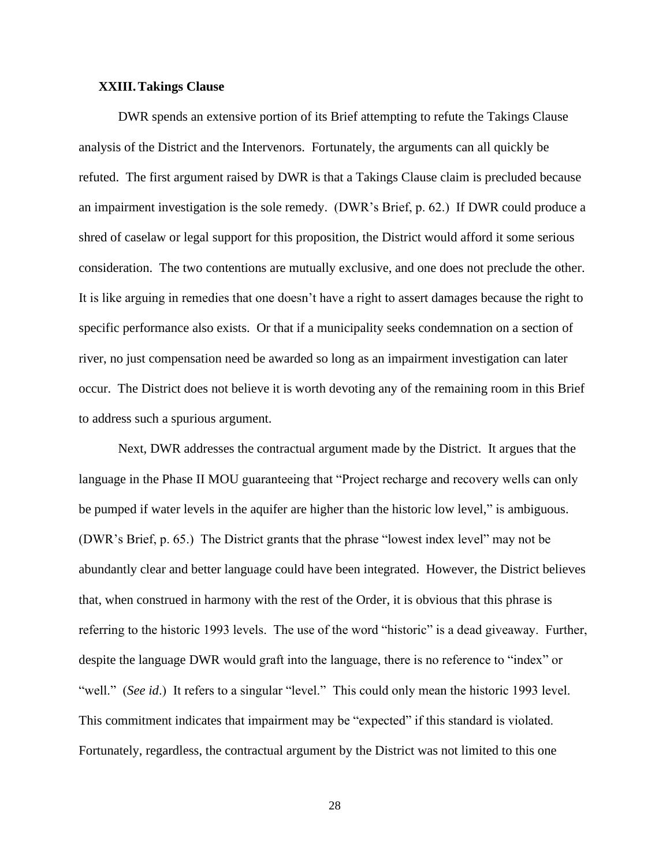# **XXIII.Takings Clause**

DWR spends an extensive portion of its Brief attempting to refute the Takings Clause analysis of the District and the Intervenors. Fortunately, the arguments can all quickly be refuted. The first argument raised by DWR is that a Takings Clause claim is precluded because an impairment investigation is the sole remedy. (DWR's Brief, p. 62.) If DWR could produce a shred of caselaw or legal support for this proposition, the District would afford it some serious consideration. The two contentions are mutually exclusive, and one does not preclude the other. It is like arguing in remedies that one doesn't have a right to assert damages because the right to specific performance also exists. Or that if a municipality seeks condemnation on a section of river, no just compensation need be awarded so long as an impairment investigation can later occur. The District does not believe it is worth devoting any of the remaining room in this Brief to address such a spurious argument.

Next, DWR addresses the contractual argument made by the District. It argues that the language in the Phase II MOU guaranteeing that "Project recharge and recovery wells can only be pumped if water levels in the aquifer are higher than the historic low level," is ambiguous. (DWR's Brief, p. 65.) The District grants that the phrase "lowest index level" may not be abundantly clear and better language could have been integrated. However, the District believes that, when construed in harmony with the rest of the Order, it is obvious that this phrase is referring to the historic 1993 levels. The use of the word "historic" is a dead giveaway. Further, despite the language DWR would graft into the language, there is no reference to "index" or "well." (*See id.*) It refers to a singular "level." This could only mean the historic 1993 level. This commitment indicates that impairment may be "expected" if this standard is violated. Fortunately, regardless, the contractual argument by the District was not limited to this one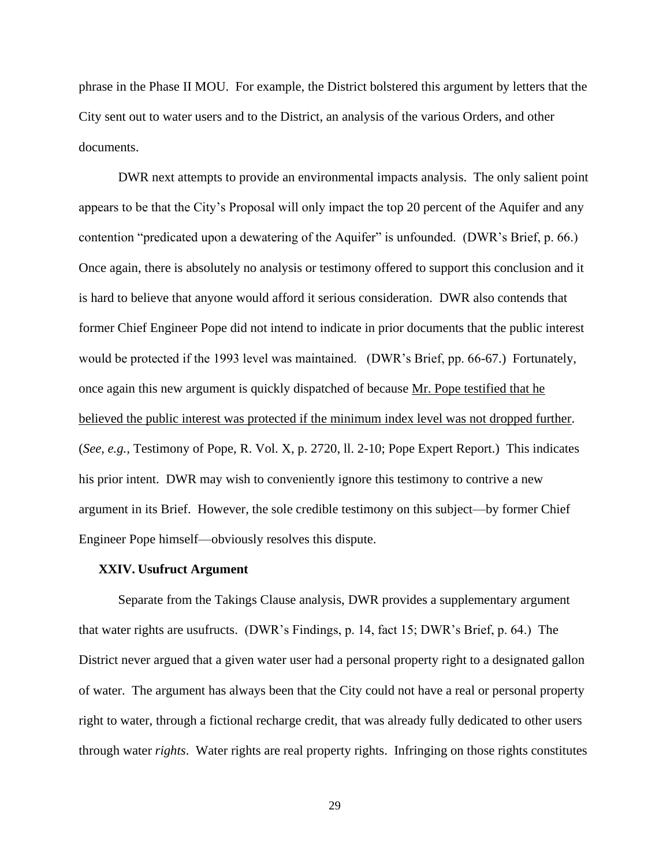phrase in the Phase II MOU. For example, the District bolstered this argument by letters that the City sent out to water users and to the District, an analysis of the various Orders, and other documents.

DWR next attempts to provide an environmental impacts analysis. The only salient point appears to be that the City's Proposal will only impact the top 20 percent of the Aquifer and any contention "predicated upon a dewatering of the Aquifer" is unfounded. (DWR's Brief, p. 66.) Once again, there is absolutely no analysis or testimony offered to support this conclusion and it is hard to believe that anyone would afford it serious consideration. DWR also contends that former Chief Engineer Pope did not intend to indicate in prior documents that the public interest would be protected if the 1993 level was maintained. (DWR's Brief, pp. 66-67.) Fortunately, once again this new argument is quickly dispatched of because Mr. Pope testified that he believed the public interest was protected if the minimum index level was not dropped further. (*See, e.g.,* Testimony of Pope, R. Vol. X, p. 2720, ll. 2-10; Pope Expert Report.) This indicates his prior intent. DWR may wish to conveniently ignore this testimony to contrive a new argument in its Brief. However, the sole credible testimony on this subject—by former Chief Engineer Pope himself—obviously resolves this dispute.

## **XXIV. Usufruct Argument**

Separate from the Takings Clause analysis, DWR provides a supplementary argument that water rights are usufructs. (DWR's Findings, p. 14, fact 15; DWR's Brief, p. 64.) The District never argued that a given water user had a personal property right to a designated gallon of water. The argument has always been that the City could not have a real or personal property right to water, through a fictional recharge credit, that was already fully dedicated to other users through water *rights*. Water rights are real property rights. Infringing on those rights constitutes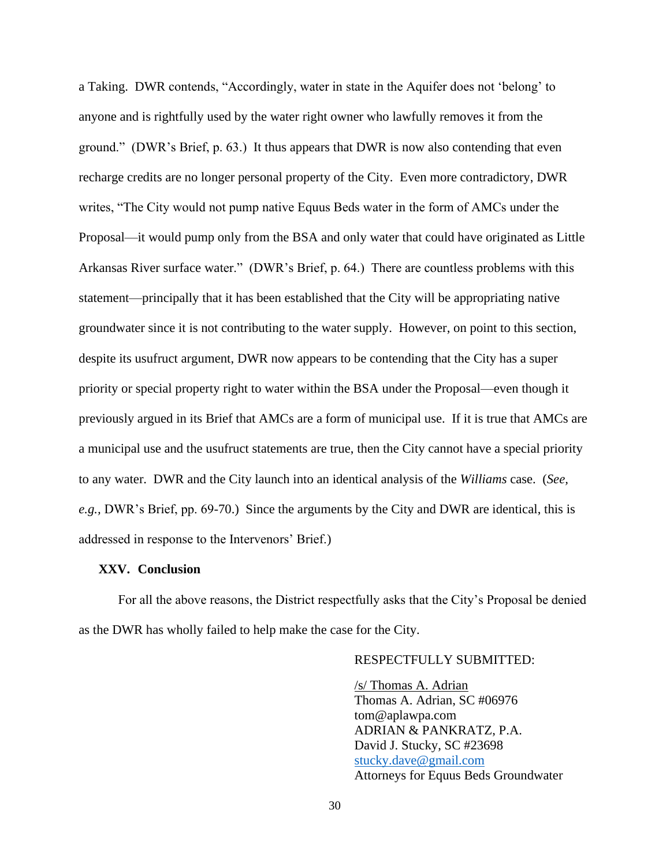a Taking. DWR contends, "Accordingly, water in state in the Aquifer does not 'belong' to anyone and is rightfully used by the water right owner who lawfully removes it from the ground." (DWR's Brief, p. 63.) It thus appears that DWR is now also contending that even recharge credits are no longer personal property of the City. Even more contradictory, DWR writes, "The City would not pump native Equus Beds water in the form of AMCs under the Proposal—it would pump only from the BSA and only water that could have originated as Little Arkansas River surface water." (DWR's Brief, p. 64.) There are countless problems with this statement—principally that it has been established that the City will be appropriating native groundwater since it is not contributing to the water supply. However, on point to this section, despite its usufruct argument, DWR now appears to be contending that the City has a super priority or special property right to water within the BSA under the Proposal—even though it previously argued in its Brief that AMCs are a form of municipal use. If it is true that AMCs are a municipal use and the usufruct statements are true, then the City cannot have a special priority to any water. DWR and the City launch into an identical analysis of the *Williams* case. (*See, e.g.,* DWR's Brief, pp. 69-70.) Since the arguments by the City and DWR are identical, this is addressed in response to the Intervenors' Brief.)

## **XXV. Conclusion**

For all the above reasons, the District respectfully asks that the City's Proposal be denied as the DWR has wholly failed to help make the case for the City.

# RESPECTFULLY SUBMITTED:

/s/ Thomas A. Adrian Thomas A. Adrian, SC #06976 tom@aplawpa.com ADRIAN & PANKRATZ, P.A. David J. Stucky, SC #23698 [stucky.dave@gmail.com](mailto:dave@aplawpa.com) Attorneys for Equus Beds Groundwater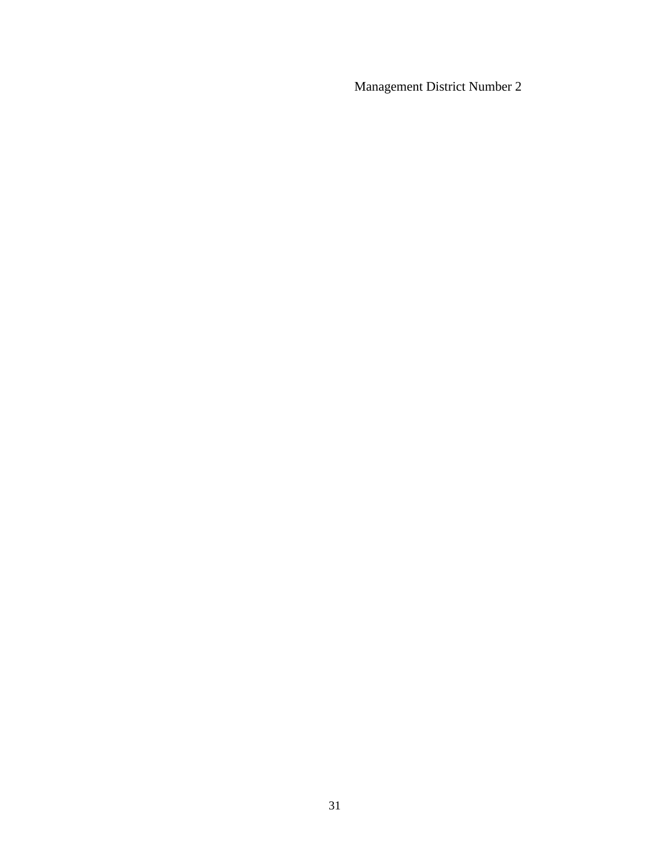Management District Number 2